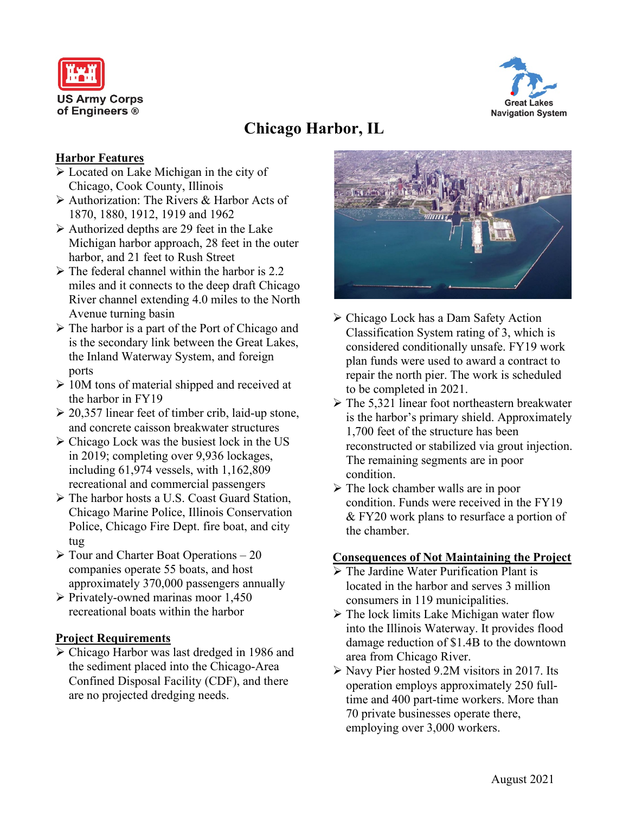



# **Chicago Harbor, IL**

### **Harbor Features**

- Located on Lake Michigan in the city of Chicago, Cook County, Illinois
- $\triangleright$  Authorization: The Rivers & Harbor Acts of 1870, 1880, 1912, 1919 and 1962
- $\triangleright$  Authorized depths are 29 feet in the Lake Michigan harbor approach, 28 feet in the outer harbor, and 21 feet to Rush Street
- $\triangleright$  The federal channel within the harbor is 2.2 miles and it connects to the deep draft Chicago River channel extending 4.0 miles to the North Avenue turning basin
- $\triangleright$  The harbor is a part of the Port of Chicago and is the secondary link between the Great Lakes, the Inland Waterway System, and foreign ports
- $\geq 10M$  tons of material shipped and received at the harbor in FY19
- $\geq 20,357$  linear feet of timber crib, laid-up stone, and concrete caisson breakwater structures
- $\triangleright$  Chicago Lock was the busiest lock in the US in 2019; completing over 9,936 lockages, including 61,974 vessels, with 1,162,809 recreational and commercial passengers
- The harbor hosts a U.S. Coast Guard Station, Chicago Marine Police, Illinois Conservation Police, Chicago Fire Dept. fire boat, and city tug
- $\triangleright$  Tour and Charter Boat Operations 20 companies operate 55 boats, and host approximately 370,000 passengers annually
- $\triangleright$  Privately-owned marinas moor 1,450 recreational boats within the harbor

### **Project Requirements**

 Chicago Harbor was last dredged in 1986 and the sediment placed into the Chicago-Area Confined Disposal Facility (CDF), and there are no projected dredging needs.



- Chicago Lock has a Dam Safety Action Classification System rating of 3, which is considered conditionally unsafe. FY19 work plan funds were used to award a contract to repair the north pier. The work is scheduled to be completed in 2021.
- $\triangleright$  The 5,321 linear foot northeastern breakwater is the harbor's primary shield. Approximately 1,700 feet of the structure has been reconstructed or stabilized via grout injection. The remaining segments are in poor condition.
- $\triangleright$  The lock chamber walls are in poor condition. Funds were received in the FY19 & FY20 work plans to resurface a portion of the chamber.

#### **Consequences of Not Maintaining the Project**

- $\triangleright$  The Jardine Water Purification Plant is located in the harbor and serves 3 million consumers in 119 municipalities.
- $\triangleright$  The lock limits Lake Michigan water flow into the Illinois Waterway. It provides flood damage reduction of \$1.4B to the downtown area from Chicago River.
- $\triangleright$  Navy Pier hosted 9.2M visitors in 2017. Its operation employs approximately 250 fulltime and 400 part-time workers. More than 70 private businesses operate there, employing over 3,000 workers.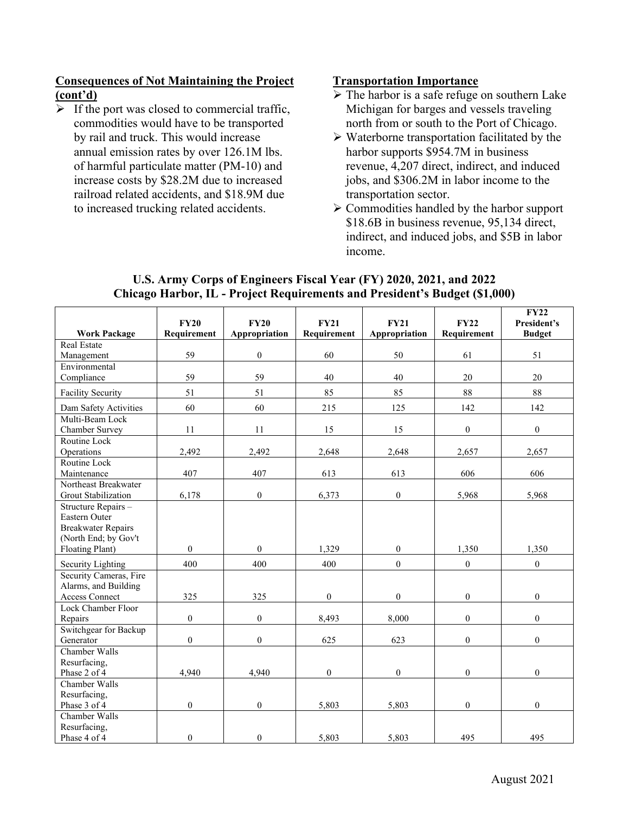#### **Consequences of Not Maintaining the Project (cont'd)**

 $\triangleright$  If the port was closed to commercial traffic, commodities would have to be transported by rail and truck. This would increase annual emission rates by over 126.1M lbs. of harmful particulate matter (PM-10) and increase costs by \$28.2M due to increased railroad related accidents, and \$18.9M due to increased trucking related accidents.

#### **Transportation Importance**

- $\triangleright$  The harbor is a safe refuge on southern Lake Michigan for barges and vessels traveling north from or south to the Port of Chicago.
- $\triangleright$  Waterborne transportation facilitated by the harbor supports \$954.7M in business revenue, 4,207 direct, indirect, and induced jobs, and \$306.2M in labor income to the transportation sector.
- $\triangleright$  Commodities handled by the harbor support \$18.6B in business revenue, 95,134 direct, indirect, and induced jobs, and \$5B in labor income.

|                           | <b>FY20</b>      | <b>FY20</b>      | <b>FY21</b>      | <b>FY21</b>      | <b>FY22</b>      | <b>FY22</b><br>President's |
|---------------------------|------------------|------------------|------------------|------------------|------------------|----------------------------|
| <b>Work Package</b>       | Requirement      | Appropriation    | Requirement      | Appropriation    | Requirement      | <b>Budget</b>              |
| <b>Real Estate</b>        |                  |                  |                  |                  |                  |                            |
| Management                | 59               | $\boldsymbol{0}$ | 60               | 50               | 61               | 51                         |
| Environmental             |                  |                  |                  |                  |                  |                            |
| Compliance                | 59               | 59               | 40               | 40               | 20               | 20                         |
| <b>Facility Security</b>  | 51               | 51               | 85               | 85               | 88               | 88                         |
| Dam Safety Activities     | 60               | 60               | 215              | 125              | 142              | 142                        |
| Multi-Beam Lock           |                  |                  |                  |                  |                  |                            |
| Chamber Survey            | 11               | 11               | 15               | 15               | $\overline{0}$   | $\boldsymbol{0}$           |
| Routine Lock              |                  |                  |                  |                  |                  |                            |
| Operations                | 2,492            | 2,492            | 2,648            | 2,648            | 2,657            | 2,657                      |
| Routine Lock              |                  |                  |                  |                  |                  |                            |
| Maintenance               | 407              | 407              | 613              | 613              | 606              | 606                        |
| Northeast Breakwater      |                  |                  |                  |                  |                  |                            |
| Grout Stabilization       | 6,178            | $\mathbf{0}$     | 6,373            | $\boldsymbol{0}$ | 5,968            | 5,968                      |
| Structure Repairs -       |                  |                  |                  |                  |                  |                            |
| <b>Eastern Outer</b>      |                  |                  |                  |                  |                  |                            |
| <b>Breakwater Repairs</b> |                  |                  |                  |                  |                  |                            |
| (North End; by Gov't      |                  |                  |                  |                  |                  |                            |
| Floating Plant)           | $\boldsymbol{0}$ | $\boldsymbol{0}$ | 1,329            | $\boldsymbol{0}$ | 1,350            | 1,350                      |
| Security Lighting         | 400              | 400              | 400              | $\boldsymbol{0}$ | $\boldsymbol{0}$ | $\boldsymbol{0}$           |
| Security Cameras, Fire    |                  |                  |                  |                  |                  |                            |
| Alarms, and Building      |                  |                  |                  |                  |                  |                            |
| <b>Access Connect</b>     | 325              | 325              | $\mathbf{0}$     | $\mathbf{0}$     | $\mathbf{0}$     | $\mathbf{0}$               |
| Lock Chamber Floor        |                  |                  |                  |                  |                  |                            |
| Repairs                   | $\boldsymbol{0}$ | $\boldsymbol{0}$ | 8,493            | 8,000            | $\boldsymbol{0}$ | $\boldsymbol{0}$           |
| Switchgear for Backup     |                  |                  |                  |                  |                  |                            |
| Generator                 | $\boldsymbol{0}$ | $\boldsymbol{0}$ | 625              | 623              | $\boldsymbol{0}$ | $\boldsymbol{0}$           |
| Chamber Walls             |                  |                  |                  |                  |                  |                            |
| Resurfacing,              |                  |                  |                  |                  |                  |                            |
| Phase 2 of 4              | 4,940            | 4,940            | $\boldsymbol{0}$ | $\boldsymbol{0}$ | $\boldsymbol{0}$ | $\boldsymbol{0}$           |
| Chamber Walls             |                  |                  |                  |                  |                  |                            |
| Resurfacing,              |                  |                  |                  |                  |                  |                            |
| Phase 3 of 4              | $\boldsymbol{0}$ | $\boldsymbol{0}$ | 5,803            | 5,803            | $\mathbf{0}$     | $\mathbf{0}$               |
| Chamber Walls             |                  |                  |                  |                  |                  |                            |
| Resurfacing,              |                  |                  |                  |                  |                  |                            |
| Phase 4 of 4              | $\mathbf{0}$     | $\mathbf{0}$     | 5,803            | 5,803            | 495              | 495                        |

### **U.S. Army Corps of Engineers Fiscal Year (FY) 2020, 2021, and 2022 Chicago Harbor, IL - Project Requirements and President's Budget (\$1,000)**